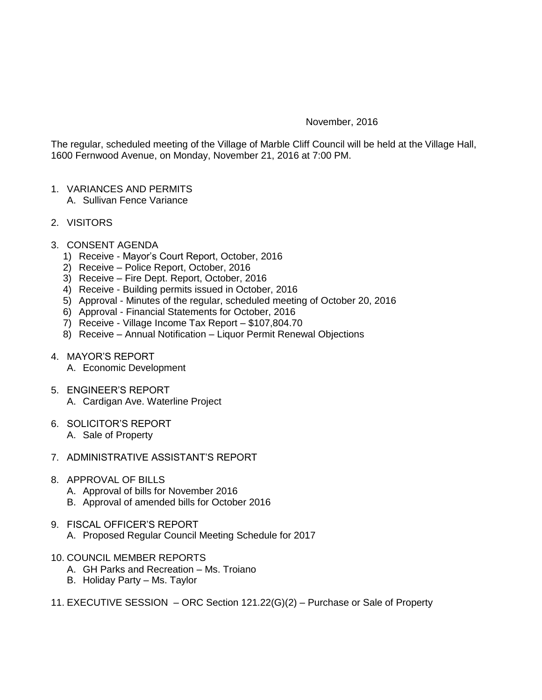## November, 2016

The regular, scheduled meeting of the Village of Marble Cliff Council will be held at the Village Hall, 1600 Fernwood Avenue, on Monday, November 21, 2016 at 7:00 PM.

- 1. VARIANCES AND PERMITS A. Sullivan Fence Variance
- 2. VISITORS
- 3. CONSENT AGENDA
	- 1) Receive Mayor's Court Report, October, 2016
	- 2) Receive Police Report, October, 2016
	- 3) Receive Fire Dept. Report, October, 2016
	- 4) Receive Building permits issued in October, 2016
	- 5) Approval Minutes of the regular, scheduled meeting of October 20, 2016
	- 6) Approval Financial Statements for October, 2016
	- 7) Receive Village Income Tax Report \$107,804.70
	- 8) Receive Annual Notification Liquor Permit Renewal Objections
- 4. MAYOR'S REPORT
	- A. Economic Development
- 5. ENGINEER'S REPORT
	- A. Cardigan Ave. Waterline Project
- 6. SOLICITOR'S REPORT
	- A. Sale of Property
- 7. ADMINISTRATIVE ASSISTANT'S REPORT
- 8. APPROVAL OF BILLS
	- A. Approval of bills for November 2016
	- B. Approval of amended bills for October 2016
- 9. FISCAL OFFICER'S REPORT
	- A. Proposed Regular Council Meeting Schedule for 2017
- 10. COUNCIL MEMBER REPORTS
	- A. GH Parks and Recreation Ms. Troiano
	- B. Holiday Party Ms. Taylor
- 11. EXECUTIVE SESSION ORC Section 121.22(G)(2) Purchase or Sale of Property